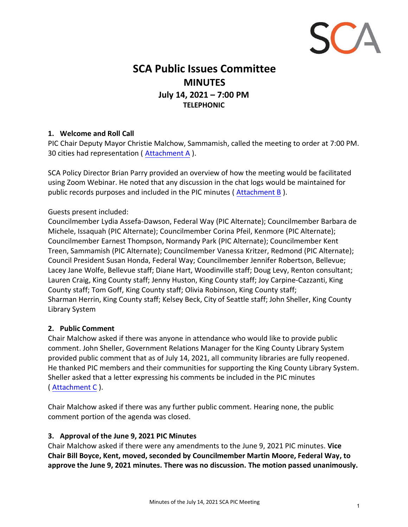

# **SCA Public Issues Committee MINUTES July 14, 2021 – 7:00 PM TELEPHONIC**

# **1. Welcome and Roll Call**

PIC Chair Deputy Mayor Christie Malchow, Sammamish, called the meeting to order at 7:00 PM. 30 cities had representation ( Attachment A ).

SCA Policy Director Brian Parry provided an overview of how the meeting would be facilitated using Zoom Webinar. He noted that any discussion in the chat logs would be maintained for public records purposes and included in the PIC minutes ( Attachment B ).

# Guests present included:

Councilmember Lydia Assefa-Dawson, Federal Way (PIC Alternate); Councilmember Barbara de Michele, Issaquah (PIC Alternate); Councilmember Corina Pfeil, Kenmore (PIC Alternate); Councilmember Earnest Thompson, Normandy Park (PIC Alternate); Councilmember Kent Treen, Sammamish (PIC Alternate); Councilmember Vanessa Kritzer, Redmond (PIC Alternate); Council President Susan Honda, Federal Way; Councilmember Jennifer Robertson, Bellevue; Lacey Jane Wolfe, Bellevue staff; Diane Hart, Woodinville staff; Doug Levy, Renton consultant; Lauren Craig, King County staff; Jenny Huston, King County staff; Joy Carpine-Cazzanti, King County staff; Tom Goff, King County staff; Olivia Robinson, King County staff; Sharman Herrin, King County staff; Kelsey Beck, City of Seattle staff; John Sheller, King County Library System

# **2. Public Comment**

Chair Malchow asked if there was anyone in attendance who would like to provide public comment. John Sheller, Government Relations Manager for the King County Library System provided public comment that as of July 14, 2021, all community libraries are fully reopened. He thanked PIC members and their communities for supporting the King County Library System. Sheller asked that a letter expressing his comments be included in the PIC minutes ( Attachment C ).

Chair Malchow asked if there was any further public comment. Hearing none, the public comment portion of the agenda was closed.

#### **3. Approval of the June 9, 2021 PIC Minutes**

Chair Malchow asked if there were any amendments to the June 9, 2021 PIC minutes. **Vice Chair Bill Boyce, Kent, moved, seconded by Councilmember Martin Moore, Federal Way, to approve the June 9, 2021 minutes. There was no discussion. The motion passed unanimously.**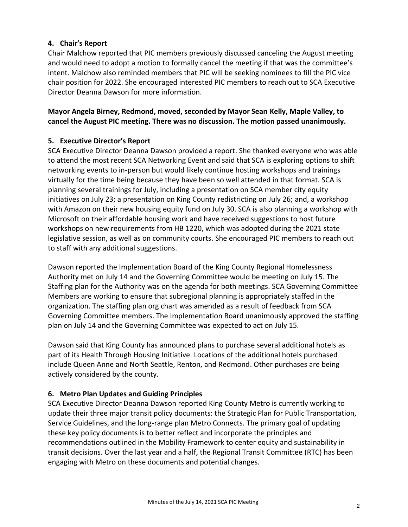# **4. Chair's Report**

Chair Malchow reported that PIC members previously discussed canceling the August meeting and would need to adopt a motion to formally cancel the meeting if that was the committee's intent. Malchow also reminded members that PIC will be seeking nominees to fill the PIC vice chair position for 2022. She encouraged interested PIC members to reach out to SCA Executive Director Deanna Dawson for more information.

# **Mayor Angela Birney, Redmond, moved, seconded by Mayor Sean Kelly, Maple Valley, to cancel the August PIC meeting. There was no discussion. The motion passed unanimously.**

# **5. Executive Director's Report**

SCA Executive Director Deanna Dawson provided a report. She thanked everyone who was able to attend the most recent SCA Networking Event and said that SCA is exploring options to shift networking events to in-person but would likely continue hosting workshops and trainings virtually for the time being because they have been so well attended in that format. SCA is planning several trainings for July, including a presentation on SCA member city equity initiatives on July 23; a presentation on King County redistricting on July 26; and, a workshop with Amazon on their new housing equity fund on July 30. SCA is also planning a workshop with Microsoft on their affordable housing work and have received suggestions to host future workshops on new requirements from HB 1220, which was adopted during the 2021 state legislative session, as well as on community courts. She encouraged PIC members to reach out to staff with any additional suggestions.

Dawson reported the Implementation Board of the King County Regional Homelessness Authority met on July 14 and the Governing Committee would be meeting on July 15. The Staffing plan for the Authority was on the agenda for both meetings. SCA Governing Committee Members are working to ensure that subregional planning is appropriately staffed in the organization. The staffing plan org chart was amended as a result of feedback from SCA Governing Committee members. The Implementation Board unanimously approved the staffing plan on July 14 and the Governing Committee was expected to act on July 15.

Dawson said that King County has announced plans to purchase several additional hotels as part of its Health Through Housing Initiative. Locations of the additional hotels purchased include Queen Anne and North Seattle, Renton, and Redmond. Other purchases are being actively considered by the county.

# **6. Metro Plan Updates and Guiding Principles**

SCA Executive Director Deanna Dawson reported King County Metro is currently working to update their three major transit policy documents: the Strategic Plan for Public Transportation, Service Guidelines, and the long-range plan Metro Connects. The primary goal of updating these key policy documents is to better reflect and incorporate the principles and recommendations outlined in the Mobility Framework to center equity and sustainability in transit decisions. Over the last year and a half, the Regional Transit Committee (RTC) has been engaging with Metro on these documents and potential changes.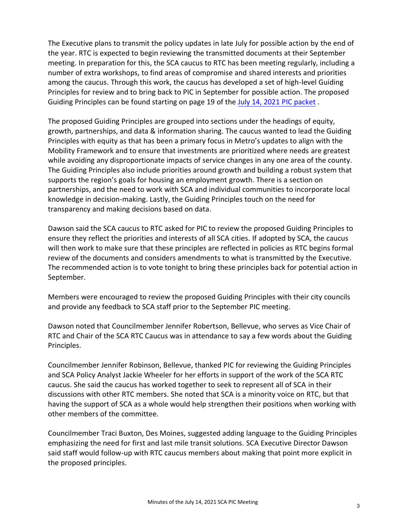The Executive plans to transmit the policy updates in late July for possible action by the end of the year. RTC is expected to begin reviewing the transmitted documents at their September meeting. In preparation for this, the SCA caucus to RTC has been meeting regularly, including a number of extra workshops, to find areas of compromise and shared interests and priorities among the caucus. Through this work, the caucus has developed a set of high-level Guiding Principles for review and to bring back to PIC in September for possible action. The proposed Guiding Principles can be found starting on page 19 of th[e July 14, 2021 PIC packet](http://soundcities.org/wp-content/uploads/2021/07/July-14-2021-SCA-PIC-Packet.pdf#page=19) .

The proposed Guiding Principles are grouped into sections under the headings of equity, growth, partnerships, and data & information sharing. The caucus wanted to lead the Guiding Principles with equity as that has been a primary focus in Metro's updates to align with the Mobility Framework and to ensure that investments are prioritized where needs are greatest while avoiding any disproportionate impacts of service changes in any one area of the county. The Guiding Principles also include priorities around growth and building a robust system that supports the region's goals for housing an employment growth. There is a section on partnerships, and the need to work with SCA and individual communities to incorporate local knowledge in decision-making. Lastly, the Guiding Principles touch on the need for transparency and making decisions based on data.

Dawson said the SCA caucus to RTC asked for PIC to review the proposed Guiding Principles to ensure they reflect the priorities and interests of all SCA cities. If adopted by SCA, the caucus will then work to make sure that these principles are reflected in policies as RTC begins formal review of the documents and considers amendments to what is transmitted by the Executive. The recommended action is to vote tonight to bring these principles back for potential action in September.

Members were encouraged to review the proposed Guiding Principles with their city councils and provide any feedback to SCA staff prior to the September PIC meeting.

Dawson noted that Councilmember Jennifer Robertson, Bellevue, who serves as Vice Chair of RTC and Chair of the SCA RTC Caucus was in attendance to say a few words about the Guiding Principles.

Councilmember Jennifer Robinson, Bellevue, thanked PIC for reviewing the Guiding Principles and SCA Policy Analyst Jackie Wheeler for her efforts in support of the work of the SCA RTC caucus. She said the caucus has worked together to seek to represent all of SCA in their discussions with other RTC members. She noted that SCA is a minority voice on RTC, but that having the support of SCA as a whole would help strengthen their positions when working with other members of the committee.

Councilmember Traci Buxton, Des Moines, suggested adding language to the Guiding Principles emphasizing the need for first and last mile transit solutions. SCA Executive Director Dawson said staff would follow-up with RTC caucus members about making that point more explicit in the proposed principles.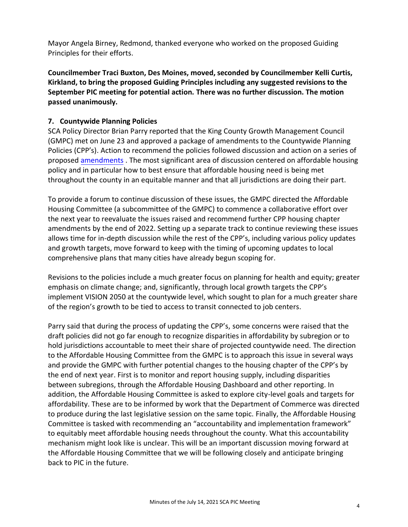Mayor Angela Birney, Redmond, thanked everyone who worked on the proposed Guiding Principles for their efforts.

**Councilmember Traci Buxton, Des Moines, moved, seconded by Councilmember Kelli Curtis, Kirkland, to bring the proposed Guiding Principles including any suggested revisions to the September PIC meeting for potential action. There was no further discussion. The motion passed unanimously.** 

# **7. Countywide Planning Policies**

SCA Policy Director Brian Parry reported that the King County Growth Management Council (GMPC) met on June 23 and approved a package of amendments to the Countywide Planning Policies (CPP's). Action to recommend the policies followed discussion and action on a series of propose[d amendments](http://soundcities.org/wp-content/uploads/2021/07/Item-06-LINK-ATTACHMENT-Amendment-Action_CPPs_6.23GMPC.pdf) . The most significant area of discussion centered on affordable housing policy and in particular how to best ensure that affordable housing need is being met throughout the county in an equitable manner and that all jurisdictions are doing their part.

To provide a forum to continue discussion of these issues, the GMPC directed the Affordable Housing Committee (a subcommittee of the GMPC) to commence a collaborative effort over the next year to reevaluate the issues raised and recommend further CPP housing chapter amendments by the end of 2022. Setting up a separate track to continue reviewing these issues allows time for in-depth discussion while the rest of the CPP's, including various policy updates and growth targets, move forward to keep with the timing of upcoming updates to local comprehensive plans that many cities have already begun scoping for.

Revisions to the policies include a much greater focus on planning for health and equity; greater emphasis on climate change; and, significantly, through local growth targets the CPP's implement VISION 2050 at the countywide level, which sought to plan for a much greater share of the region's growth to be tied to access to transit connected to job centers.

Parry said that during the process of updating the CPP's, some concerns were raised that the draft policies did not go far enough to recognize disparities in affordability by subregion or to hold jurisdictions accountable to meet their share of projected countywide need. The direction to the Affordable Housing Committee from the GMPC is to approach this issue in several ways and provide the GMPC with further potential changes to the housing chapter of the CPP's by the end of next year. First is to monitor and report housing supply, including disparities between subregions, through the Affordable Housing Dashboard and other reporting. In addition, the Affordable Housing Committee is asked to explore city-level goals and targets for affordability. These are to be informed by work that the Department of Commerce was directed to produce during the last legislative session on the same topic. Finally, the Affordable Housing Committee is tasked with recommending an "accountability and implementation framework" to equitably meet affordable housing needs throughout the county. What this accountability mechanism might look like is unclear. This will be an important discussion moving forward at the Affordable Housing Committee that we will be following closely and anticipate bringing back to PIC in the future.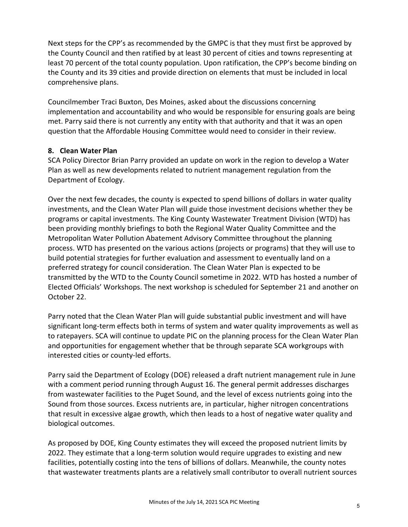Next steps for the CPP's as recommended by the GMPC is that they must first be approved by the County Council and then ratified by at least 30 percent of cities and towns representing at least 70 percent of the total county population. Upon ratification, the CPP's become binding on the County and its 39 cities and provide direction on elements that must be included in local comprehensive plans.

Councilmember Traci Buxton, Des Moines, asked about the discussions concerning implementation and accountability and who would be responsible for ensuring goals are being met. Parry said there is not currently any entity with that authority and that it was an open question that the Affordable Housing Committee would need to consider in their review.

#### **8. Clean Water Plan**

SCA Policy Director Brian Parry provided an update on work in the region to develop a Water Plan as well as new developments related to nutrient management regulation from the Department of Ecology.

Over the next few decades, the county is expected to spend billions of dollars in water quality investments, and the Clean Water Plan will guide those investment decisions whether they be programs or capital investments. The King County Wastewater Treatment Division (WTD) has been providing monthly briefings to both the Regional Water Quality Committee and the Metropolitan Water Pollution Abatement Advisory Committee throughout the planning process. WTD has presented on the various actions (projects or programs) that they will use to build potential strategies for further evaluation and assessment to eventually land on a preferred strategy for council consideration. The Clean Water Plan is expected to be transmitted by the WTD to the County Council sometime in 2022. WTD has hosted a number of Elected Officials' Workshops. The next workshop is scheduled for September 21 and another on October 22.

Parry noted that the Clean Water Plan will guide substantial public investment and will have significant long-term effects both in terms of system and water quality improvements as well as to ratepayers. SCA will continue to update PIC on the planning process for the Clean Water Plan and opportunities for engagement whether that be through separate SCA workgroups with interested cities or county‐led efforts.

Parry said the Department of Ecology (DOE) released a draft nutrient management rule in June with a comment period running through August 16. The general permit addresses discharges from wastewater facilities to the Puget Sound, and the level of excess nutrients going into the Sound from those sources. Excess nutrients are, in particular, higher nitrogen concentrations that result in excessive algae growth, which then leads to a host of negative water quality and biological outcomes.

As proposed by DOE, King County estimates they will exceed the proposed nutrient limits by 2022. They estimate that a long-term solution would require upgrades to existing and new facilities, potentially costing into the tens of billions of dollars. Meanwhile, the county notes that wastewater treatments plants are a relatively small contributor to overall nutrient sources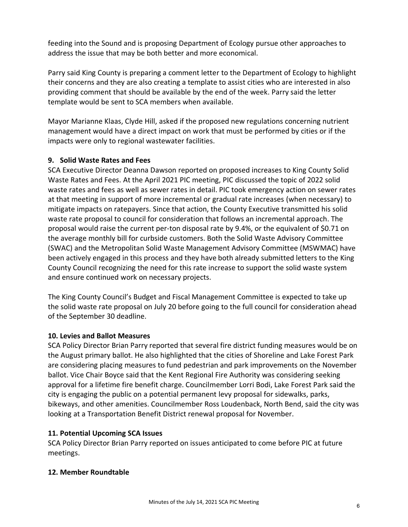feeding into the Sound and is proposing Department of Ecology pursue other approaches to address the issue that may be both better and more economical.

Parry said King County is preparing a comment letter to the Department of Ecology to highlight their concerns and they are also creating a template to assist cities who are interested in also providing comment that should be available by the end of the week. Parry said the letter template would be sent to SCA members when available.

Mayor Marianne Klaas, Clyde Hill, asked if the proposed new regulations concerning nutrient management would have a direct impact on work that must be performed by cities or if the impacts were only to regional wastewater facilities.

# **9. Solid Waste Rates and Fees**

SCA Executive Director Deanna Dawson reported on proposed increases to King County Solid Waste Rates and Fees. At the April 2021 PIC meeting, PIC discussed the topic of 2022 solid waste rates and fees as well as sewer rates in detail. PIC took emergency action on sewer rates at that meeting in support of more incremental or gradual rate increases (when necessary) to mitigate impacts on ratepayers. Since that action, the County Executive transmitted his solid waste rate proposal to council for consideration that follows an incremental approach. The proposal would raise the current per‐ton disposal rate by 9.4%, or the equivalent of \$0.71 on the average monthly bill for curbside customers. Both the Solid Waste Advisory Committee (SWAC) and the Metropolitan Solid Waste Management Advisory Committee (MSWMAC) have been actively engaged in this process and they have both already submitted letters to the King County Council recognizing the need for this rate increase to support the solid waste system and ensure continued work on necessary projects.

The King County Council's Budget and Fiscal Management Committee is expected to take up the solid waste rate proposal on July 20 before going to the full council for consideration ahead of the September 30 deadline.

#### **10. Levies and Ballot Measures**

SCA Policy Director Brian Parry reported that several fire district funding measures would be on the August primary ballot. He also highlighted that the cities of Shoreline and Lake Forest Park are considering placing measures to fund pedestrian and park improvements on the November ballot. Vice Chair Boyce said that the Kent Regional Fire Authority was considering seeking approval for a lifetime fire benefit charge. Councilmember Lorri Bodi, Lake Forest Park said the city is engaging the public on a potential permanent levy proposal for sidewalks, parks, bikeways, and other amenities. Councilmember Ross Loudenback, North Bend, said the city was looking at a Transportation Benefit District renewal proposal for November.

# **11. Potential Upcoming SCA Issues**

SCA Policy Director Brian Parry reported on issues anticipated to come before PIC at future meetings.

#### **12. Member Roundtable**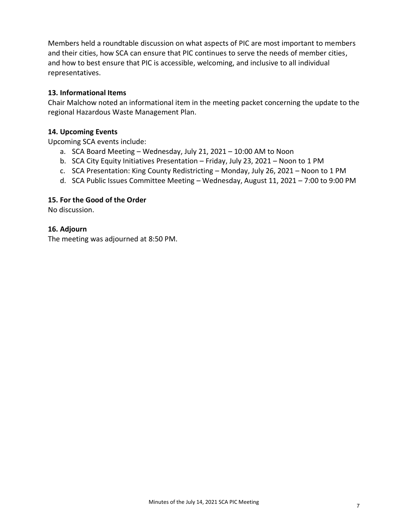Members held a roundtable discussion on what aspects of PIC are most important to members and their cities, how SCA can ensure that PIC continues to serve the needs of member cities, and how to best ensure that PIC is accessible, welcoming, and inclusive to all individual representatives.

#### **13. Informational Items**

Chair Malchow noted an informational item in the meeting packet concerning the update to the regional Hazardous Waste Management Plan.

#### **14. Upcoming Events**

Upcoming SCA events include:

- a. SCA Board Meeting Wednesday, July 21, 2021 10:00 AM to Noon
- b. SCA City Equity Initiatives Presentation Friday, July 23, 2021 Noon to 1 PM
- c. SCA Presentation: King County Redistricting Monday, July 26, 2021 Noon to 1 PM
- d. SCA Public Issues Committee Meeting Wednesday, August 11, 2021 7:00 to 9:00 PM

#### **15. For the Good of the Order**

No discussion.

#### **16. Adjourn**

The meeting was adjourned at 8:50 PM.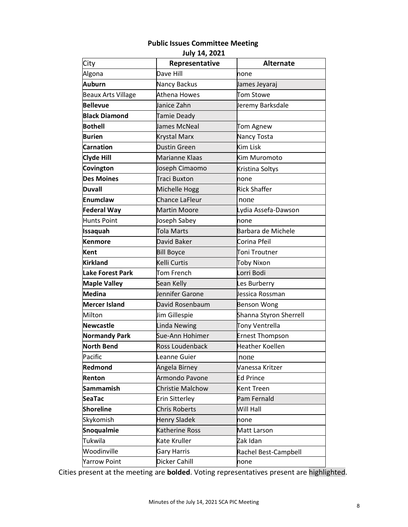# **Public Issues Committee Meeting**

**July 14, 2021**

| City                      | Representative          | <b>Alternate</b>       |
|---------------------------|-------------------------|------------------------|
| Algona                    | Dave Hill               | none                   |
| <b>Auburn</b>             | Nancy Backus            | James Jeyaraj          |
| <b>Beaux Arts Village</b> | Athena Howes            | <b>Tom Stowe</b>       |
| <b>Bellevue</b>           | Janice Zahn             | Jeremy Barksdale       |
| <b>Black Diamond</b>      | Tamie Deady             |                        |
| <b>Bothell</b>            | James McNeal            | Tom Agnew              |
| <b>Burien</b>             | Krystal Marx            | Nancy Tosta            |
| <b>Carnation</b>          | <b>Dustin Green</b>     | Kim Lisk               |
| <b>Clyde Hill</b>         | Marianne Klaas          | Kim Muromoto           |
| Covington                 | Joseph Cimaomo          | Kristina Soltys        |
| <b>Des Moines</b>         | Traci Buxton            | none                   |
| Duvall                    | Michelle Hogg           | <b>Rick Shaffer</b>    |
| <b>Enumclaw</b>           | Chance LaFleur          | none                   |
| <b>Federal Way</b>        | <b>Martin Moore</b>     | Lydia Assefa-Dawson    |
| <b>Hunts Point</b>        | Joseph Sabey            | none                   |
| <b>Issaquah</b>           | Tola Marts              | Barbara de Michele     |
| <b>Kenmore</b>            | David Baker             | Corina Pfeil           |
| Kent                      | <b>Bill Boyce</b>       | Toni Troutner          |
| <b>Kirkland</b>           | Kelli Curtis            | Toby Nixon             |
| <b>Lake Forest Park</b>   | Tom French              | Lorri Bodi             |
| <b>Maple Valley</b>       | Sean Kelly              | Les Burberry           |
| <b>Medina</b>             | Jennifer Garone         | Jessica Rossman        |
| <b>Mercer Island</b>      | David Rosenbaum         | <b>Benson Wong</b>     |
| Milton                    | Jim Gillespie           | Shanna Styron Sherrell |
| <b>Newcastle</b>          | Linda Newing            | Tony Ventrella         |
| <b>Normandy Park</b>      | Sue-Ann Hohimer         | <b>Ernest Thompson</b> |
| <b>North Bend</b>         | Ross Loudenback         | <b>Heather Koellen</b> |
| Pacific                   | Leanne Guier            | none                   |
| Redmond                   | Angela Birney           | Vanessa Kritzer        |
| Renton                    | Armondo Pavone          | <b>Ed Prince</b>       |
| <b>Sammamish</b>          | <b>Christie Malchow</b> | Kent Treen             |
| <b>SeaTac</b>             | Erin Sitterley          | Pam Fernald            |
| <b>Shoreline</b>          | <b>Chris Roberts</b>    | Will Hall              |
| Skykomish                 | <b>Henry Sladek</b>     | none                   |
| <b>Snoqualmie</b>         | <b>Katherine Ross</b>   | Matt Larson            |
| Tukwila                   | Kate Kruller            | Zak Idan               |
| Woodinville               | Gary Harris             | Rachel Best-Campbell   |
| <b>Yarrow Point</b>       | Dicker Cahill           | none                   |

Cities present at the meeting are **bolded**. Voting representatives present are highlighted.